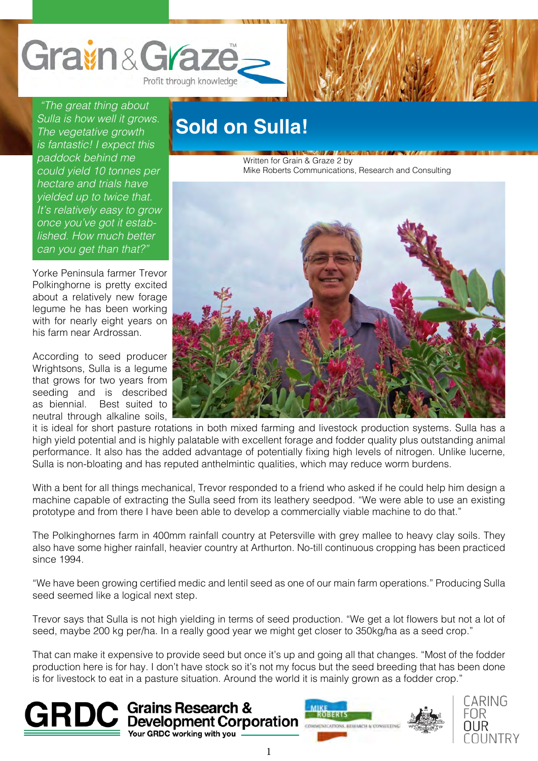

 *"The great thing about Sulla is how well it grows. The vegetative growth is fantastic! I expect this paddock behind me could yield 10 tonnes per hectare and trials have yielded up to twice that. It's relatively easy to grow once you've got it established. How much better can you get than that?"* 

Yorke Peninsula farmer Trevor Polkinghorne is pretty excited about a relatively new forage legume he has been working with for nearly eight years on his farm near Ardrossan.

According to seed producer Wrightsons, Sulla is a legume that grows for two years from seeding and is described as biennial. Best suited to neutral through alkaline soils,

## **Sold on Sulla!**

Written for Grain & Graze 2 by Mike Roberts Communications, Research and Consulting



it is ideal for short pasture rotations in both mixed farming and livestock production systems. Sulla has a high yield potential and is highly palatable with excellent forage and fodder quality plus outstanding animal performance. It also has the added advantage of potentially fixing high levels of nitrogen. Unlike lucerne, Sulla is non-bloating and has reputed anthelmintic qualities, which may reduce worm burdens.

With a bent for all things mechanical, Trevor responded to a friend who asked if he could help him design a machine capable of extracting the Sulla seed from its leathery seedpod. "We were able to use an existing prototype and from there I have been able to develop a commercially viable machine to do that."

The Polkinghornes farm in 400mm rainfall country at Petersville with grey mallee to heavy clay soils. They also have some higher rainfall, heavier country at Arthurton. No-till continuous cropping has been practiced since 1994.

"We have been growing certified medic and lentil seed as one of our main farm operations." Producing Sulla seed seemed like a logical next step.

Trevor says that Sulla is not high yielding in terms of seed production. "We get a lot flowers but not a lot of seed, maybe 200 kg per/ha. In a really good year we might get closer to 350kg/ha as a seed crop."

That can make it expensive to provide seed but once it's up and going all that changes. "Most of the fodder production here is for hay. I don't have stock so it's not my focus but the seed breeding that has been done is for livestock to eat in a pasture situation. Around the world it is mainly grown as a fodder crop."





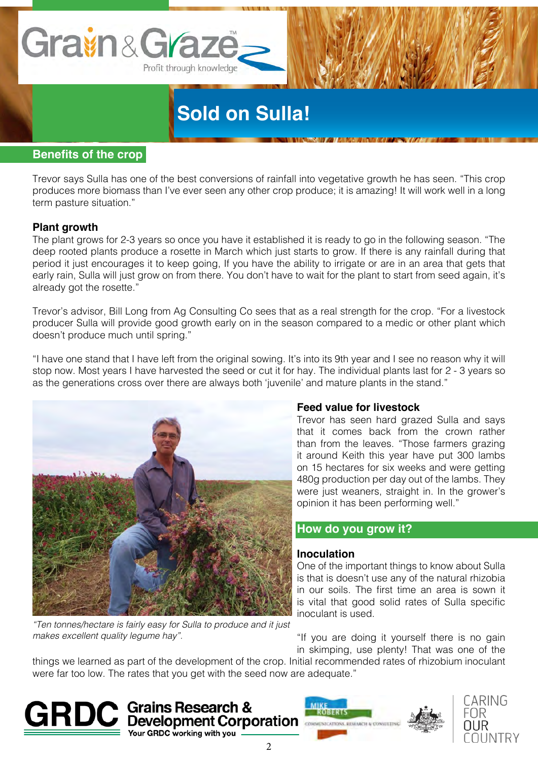

# **Sold on Sulla!**

#### **Benefits of the crop**

Trevor says Sulla has one of the best conversions of rainfall into vegetative growth he has seen. "This crop produces more biomass than I've ever seen any other crop produce; it is amazing! It will work well in a long term pasture situation."

#### **Plant growth**

The plant grows for 2-3 years so once you have it established it is ready to go in the following season. "The deep rooted plants produce a rosette in March which just starts to grow. If there is any rainfall during that period it just encourages it to keep going, If you have the ability to irrigate or are in an area that gets that early rain, Sulla will just grow on from there. You don't have to wait for the plant to start from seed again, it's already got the rosette."

Trevor's advisor, Bill Long from Ag Consulting Co sees that as a real strength for the crop. "For a livestock producer Sulla will provide good growth early on in the season compared to a medic or other plant which doesn't produce much until spring."

"I have one stand that I have left from the original sowing. It's into its 9th year and I see no reason why it will stop now. Most years I have harvested the seed or cut it for hay. The individual plants last for 2 - 3 years so as the generations cross over there are always both 'juvenile' and mature plants in the stand."



#### *"Ten tonnes/hectare is fairly easy for Sulla to produce and it just makes excellent quality legume hay".*

#### **Feed value for livestock**

Trevor has seen hard grazed Sulla and says that it comes back from the crown rather than from the leaves. "Those farmers grazing it around Keith this year have put 300 lambs on 15 hectares for six weeks and were getting 480g production per day out of the lambs. They were just weaners, straight in. In the grower's opinion it has been performing well."

#### **How do you grow it?**

#### **Inoculation**

One of the important things to know about Sulla is that is doesn't use any of the natural rhizobia in our soils. The first time an area is sown it is vital that good solid rates of Sulla specific inoculant is used.

"If you are doing it yourself there is no gain in skimping, use plenty! That was one of the

things we learned as part of the development of the crop. Initial recommended rates of rhizobium inoculant were far too low. The rates that you get with the seed now are adequate."





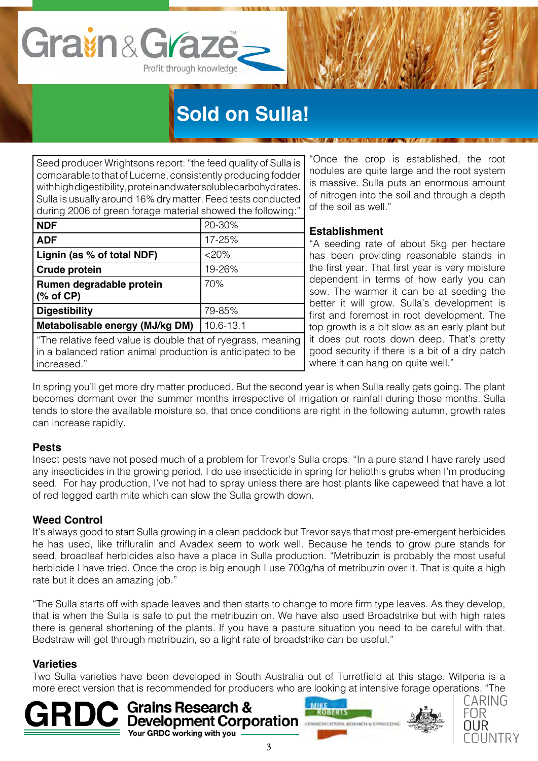# **Sold on Sulla!**

Seed producer Wrightsons report: "the feed quality of Sulla is comparable to that of Lucerne, consistently producing fodder with high digestibility, protein and water soluble carbohydrates. Sulla is usually around 16% dry matter. Feed tests conducted during 2006 of green forage material showed the following:"

Profit through knowledge

Gravin & Graz

| <b>NDF</b>                                                                                                                  | 20-30%    |
|-----------------------------------------------------------------------------------------------------------------------------|-----------|
| <b>ADF</b>                                                                                                                  | 17-25%    |
| Lignin (as % of total NDF)                                                                                                  | $<20\%$   |
| Crude protein                                                                                                               | 19-26%    |
| Rumen degradable protein                                                                                                    | 70%       |
| $(% \mathbf{A})$ (% of CP)                                                                                                  |           |
| <b>Digestibility</b>                                                                                                        | 79-85%    |
| Metabolisable energy (MJ/kg DM)                                                                                             | 10.6-13.1 |
| "The relative feed value is double that of ryegrass, meaning<br>in a balanced ration animal production is anticipated to be |           |

"Once the crop is established, the root nodules are quite large and the root system is massive. Sulla puts an enormous amount of nitrogen into the soil and through a depth of the soil as well."

### **Establishment**

"A seeding rate of about 5kg per hectare has been providing reasonable stands in the first year. That first year is very moisture dependent in terms of how early you can sow. The warmer it can be at seeding the better it will grow. Sulla's development is first and foremost in root development. The top growth is a bit slow as an early plant but it does put roots down deep. That's pretty good security if there is a bit of a dry patch where it can hang on quite well."

In spring you'll get more dry matter produced. But the second year is when Sulla really gets going. The plant becomes dormant over the summer months irrespective of irrigation or rainfall during those months. Sulla tends to store the available moisture so, that once conditions are right in the following autumn, growth rates can increase rapidly.

### **Pests**

increased."

Insect pests have not posed much of a problem for Trevor's Sulla crops. "In a pure stand I have rarely used any insecticides in the growing period. I do use insecticide in spring for heliothis grubs when I'm producing seed. For hay production, I've not had to spray unless there are host plants like capeweed that have a lot of red legged earth mite which can slow the Sulla growth down.

### **Weed Control**

It's always good to start Sulla growing in a clean paddock but Trevor says that most pre-emergent herbicides he has used, like trifluralin and Avadex seem to work well. Because he tends to grow pure stands for seed, broadleaf herbicides also have a place in Sulla production. "Metribuzin is probably the most useful herbicide I have tried. Once the crop is big enough I use 700g/ha of metribuzin over it. That is quite a high rate but it does an amazing job."

"The Sulla starts off with spade leaves and then starts to change to more firm type leaves. As they develop, that is when the Sulla is safe to put the metribuzin on. We have also used Broadstrike but with high rates there is general shortening of the plants. If you have a pasture situation you need to be careful with that. Bedstraw will get through metribuzin, so a light rate of broadstrike can be useful."

### **Varieties**

Two Sulla varieties have been developed in South Australia out of Turretfield at this stage. Wilpena is a more erect version that is recommended for producers who are looking at intensive forage operations. "The







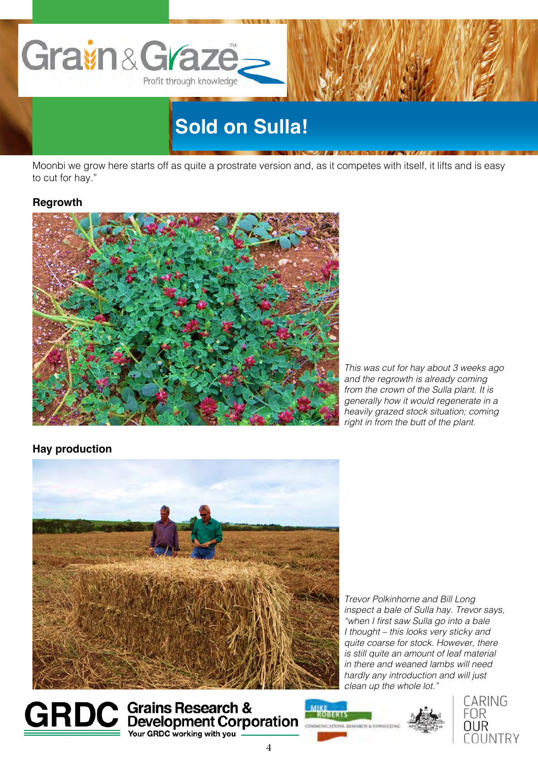

Moonbi we grow here starts off as quite a prostrate version and, as it competes with itself, it lifts and is easy to cut for hay."

#### **Regrowth**



*This was cut for hay about 3 weeks ago and the regrowth is already coming from the crown of the Sulla plant. It is generally how it would regenerate in a heavily grazed stock situation; coming right in from the butt of the plant.*

#### **Hay production**



*Trevor Polkinhorne and Bill Long inspect a bale of Sulla hay. Trevor says,*  "when I first saw Sulla go into a bale *I thought – this looks very sticky and quite coarse for stock. However, there is still quite an amount of leaf material in there and weaned lambs will need hardly any introduction and will just clean up the whole lot."*



**GRDC** Grains Research & **MARGERIS** Your GRDC working with you